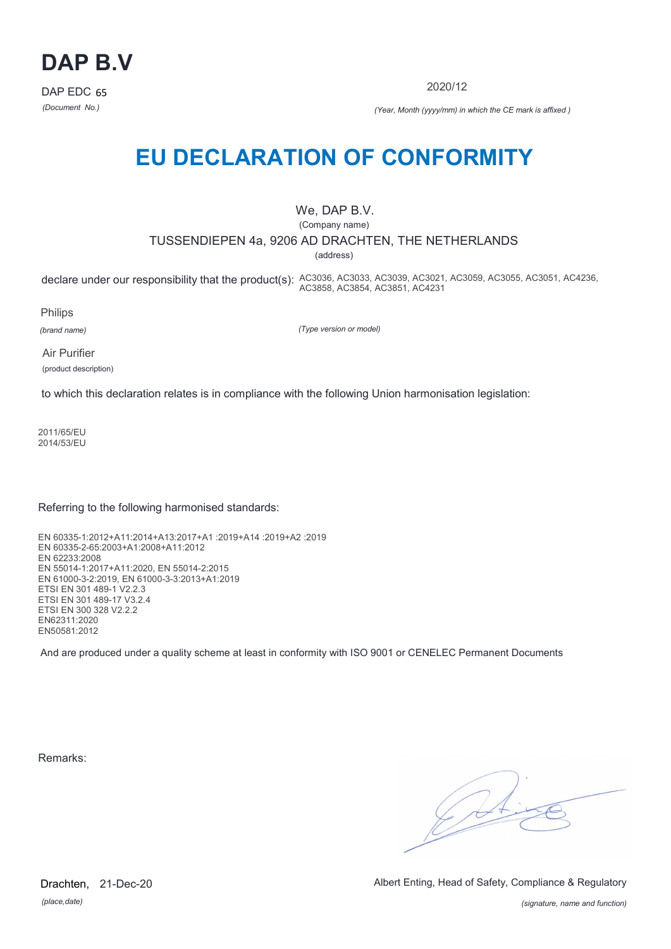

2020/12

*(Document No.) (Year, Month (yyyy/mm) in which the CE mark is affixed )*

# **EU DECLARATION OF CONFORMITY**

### We, DAP B.V.

(Company name)

TUSSENDIEPEN 4a, 9206 AD DRACHTEN, THE NETHERLANDS

(address)

declare under our responsibility that the product(s): AC3036, AC3033, AC3039, AC3021, AC3059, AC3055, AC3051, AC4236, AC3858, AC3854, AC3851, AC4231

Philips

*(brand name)*

*(Type version or model)*

Air Purifier (product description)

to which this declaration relates is in compliance with the following Union harmonisation legislation:

2011/65/EU 2014/53/EU

Referring to the following harmonised standards:

EN 60335-1:2012+A11:2014+A13:2017+A1 :2019+A14 :2019+A2 :2019 EN 60335-2-65:2003+A1:2008+A11:2012 EN 62233:2008 EN 55014-1:2017+A11:2020, EN 55014-2:2015 EN 61000-3-2:2019, EN 61000-3-3:2013+A1:2019 ETSI EN 301 489-1 V2.2.3 ETSI EN 301 489-17 V3.2.4 ETSI EN 300 328 V2.2.2 EN62311:2020 EN50581:2012

And are produced under a quality scheme at least in conformity with ISO 9001 or CENELEC Permanent Documents

Remarks:

 $\sqrt{14}$ 

*(place,date)* Drachten, 21-Dec-20 Albert Enting, Head of Safety, Compliance & Regulatory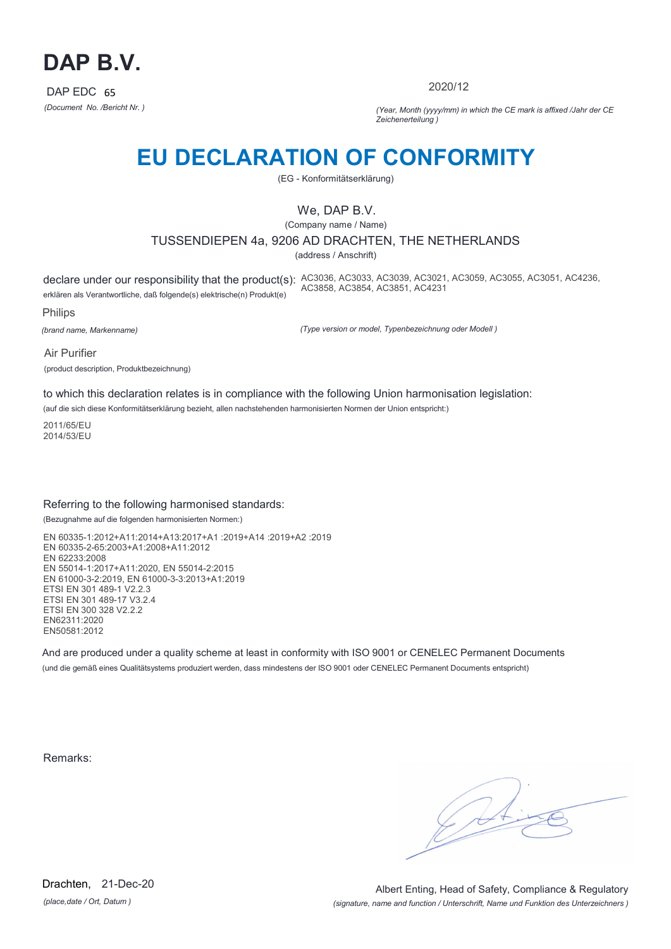

2020/12

*(Document No. /Bericht Nr. ) (Year, Month (yyyy/mm) in which the CE mark is affixed /Jahr der CE Zeichenerteilung )*

# **EU DECLARATION OF CONFORMITY**

(EG - Konformitätserklärung)

## We, DAP B.V.

(Company name / Name)

TUSSENDIEPEN 4a, 9206 AD DRACHTEN, THE NETHERLANDS

(address / Anschrift)

declare under our responsibility that the product(s): AC3036, AC3033, AC3039, AC3021, AC3059, AC3055, AC3051, AC4236, erklären als Verantwortliche, daß folgende(s) elektrische(n) Produkt(e) AC3858, AC3854, AC3851, AC4231

Philips

*(brand name, Markenname)*

*(Type version or model, Typenbezeichnung oder Modell )*

Air Purifier (product description, Produktbezeichnung)

to which this declaration relates is in compliance with the following Union harmonisation legislation:

(auf die sich diese Konformitätserklärung bezieht, allen nachstehenden harmonisierten Normen der Union entspricht:)

2011/65/EU 2014/53/EU

### Referring to the following harmonised standards:

(Bezugnahme auf die folgenden harmonisierten Normen:)

EN 60335-1:2012+A11:2014+A13:2017+A1 :2019+A14 :2019+A2 :2019 EN 60335-2-65:2003+A1:2008+A11:2012 EN 62233:2008 EN 55014-1:2017+A11:2020, EN 55014-2:2015 EN 61000-3-2:2019, EN 61000-3-3:2013+A1:2019 ETSI EN 301 489-1 V2.2.3 ETSI EN 301 489-17 V3.2.4 ETSI EN 300 328 V2.2.2 EN62311:2020 EN50581:2012

And are produced under a quality scheme at least in conformity with ISO 9001 or CENELEC Permanent Documents (und die gemäß eines Qualitätsystems produziert werden, dass mindestens der ISO 9001 oder CENELEC Permanent Documents entspricht)

Remarks:

*(place,date / Ort, Datum )* Drachten, 21-Dec-20

*(signature, name and function / Unterschrift, Name und Funktion des Unterzeichners )* Albert Enting, Head of Safety, Compliance & Regulatory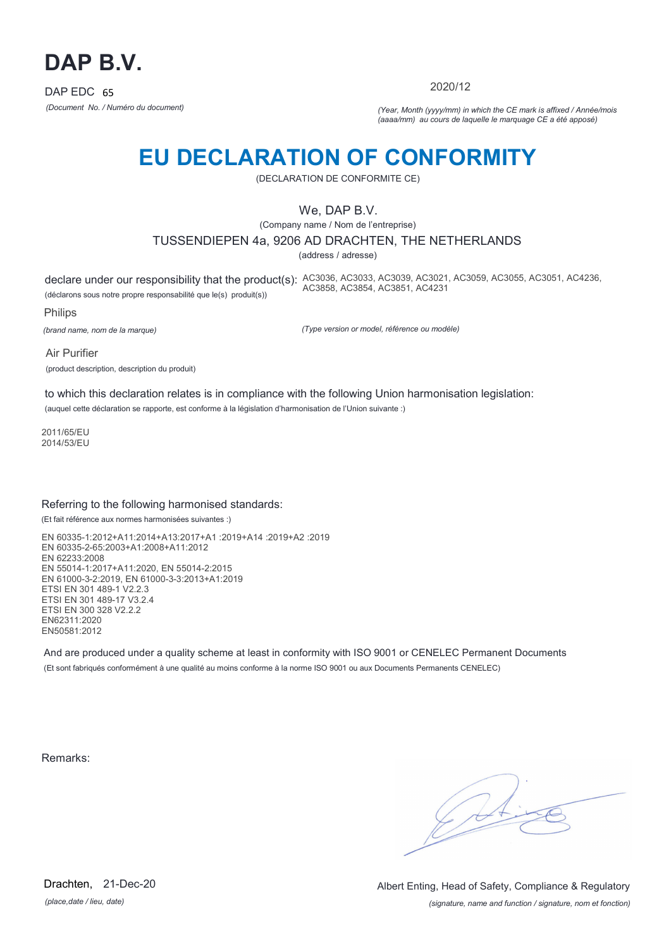

2020/12

*(Document No. / Numéro du document) (Year, Month (yyyy/mm) in which the CE mark is affixed / Année/mois (aaaa/mm) au cours de laquelle le marquage CE a été apposé)*

# **EU DECLARATION OF CONFORMITY**

(DECLARATION DE CONFORMITE CE)

## We, DAP B.V.

(Company name / Nom de l'entreprise)

### TUSSENDIEPEN 4a, 9206 AD DRACHTEN, THE NETHERLANDS

(address / adresse)

declare under our responsibility that the product(s): AC3036, AC3033, AC3039, AC3021, AC3059, AC3055, AC3051, AC4236, (déclarons sous notre propre responsabilité que le(s) produit(s)) AC3858, AC3854, AC3851, AC4231

Philips

*(brand name, nom de la marque)*

*(Type version or model, référence ou modèle)*

Air Purifier (product description, description du produit)

to which this declaration relates is in compliance with the following Union harmonisation legislation:

(auquel cette déclaration se rapporte, est conforme à la législation d'harmonisation de l'Union suivante :)

2011/65/EU 2014/53/EU

### Referring to the following harmonised standards:

(Et fait référence aux normes harmonisées suivantes :)

EN 60335-1:2012+A11:2014+A13:2017+A1 :2019+A14 :2019+A2 :2019 EN 60335-2-65:2003+A1:2008+A11:2012 EN 62233:2008 EN 55014-1:2017+A11:2020, EN 55014-2:2015 EN 61000-3-2:2019, EN 61000-3-3:2013+A1:2019 ETSI EN 301 489-1 V2.2.3 ETSI EN 301 489-17 V3.2.4 ETSI EN 300 328 V2.2.2 EN62311:2020 EN50581:2012

And are produced under a quality scheme at least in conformity with ISO 9001 or CENELEC Permanent Documents (Et sont fabriqués conformément à une qualité au moins conforme à la norme ISO 9001 ou aux Documents Permanents CENELEC)

Remarks:

*(place,date / lieu, date)* Drachten, 21-Dec-20

*(signature, name and function / signature, nom et fonction)* Albert Enting, Head of Safety, Compliance & Regulatory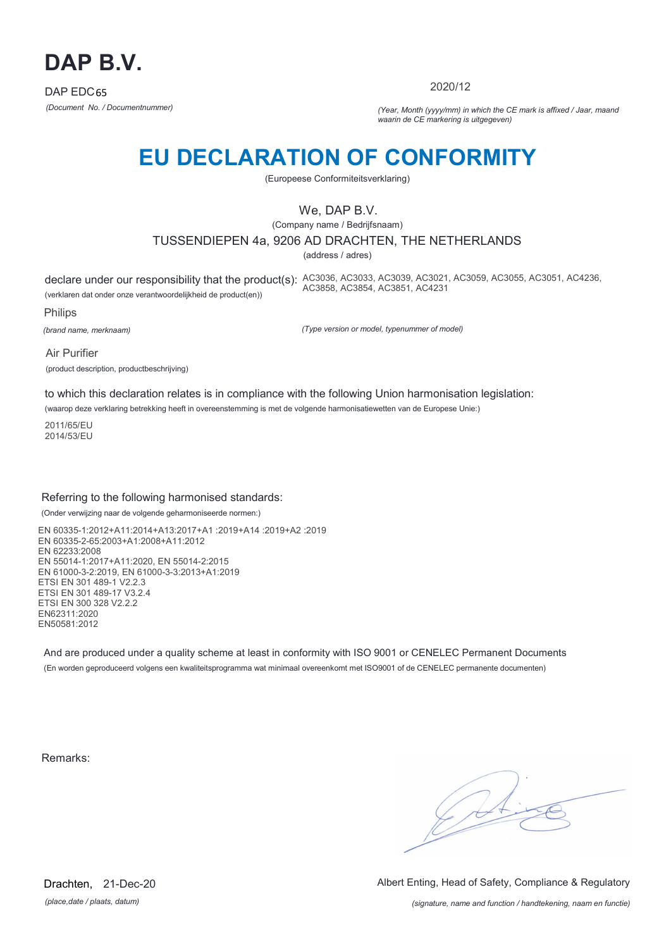

2020/12

*(Document No. / Documentnummer) (Year, Month (yyyy/mm) in which the CE mark is affixed / Jaar, maand waarin de CE markering is uitgegeven)*

# **EU DECLARATION OF CONFORMITY**

(Europeese Conformiteitsverklaring)

## We, DAP B.V.

(Company name / Bedrijfsnaam)

TUSSENDIEPEN 4a, 9206 AD DRACHTEN, THE NETHERLANDS

(address / adres)

declare under our responsibility that the product(s): AC3036, AC3033, AC3039, AC3021, AC3059, AC3055, AC3051, AC4236, (verklaren dat onder onze verantwoordelijkheid de product(en)) AC3858, AC3854, AC3851, AC4231

Philips

*(brand name, merknaam)*

*(Type version or model, typenummer of model)*

Air Purifier (product description, productbeschrijving)

to which this declaration relates is in compliance with the following Union harmonisation legislation:

(waarop deze verklaring betrekking heeft in overeenstemming is met de volgende harmonisatiewetten van de Europese Unie:)

2011/65/EU 2014/53/EU

### Referring to the following harmonised standards:

(Onder verwijzing naar de volgende geharmoniseerde normen:)

EN 60335-1:2012+A11:2014+A13:2017+A1 :2019+A14 :2019+A2 :2019 EN 60335-2-65:2003+A1:2008+A11:2012 EN 62233:2008 EN 55014-1:2017+A11:2020, EN 55014-2:2015 EN 61000-3-2:2019, EN 61000-3-3:2013+A1:2019 ETSI EN 301 489-1 V2.2.3 ETSI EN 301 489-17 V3.2.4 ETSI EN 300 328 V2.2.2 EN62311:2020 EN50581:2012

And are produced under a quality scheme at least in conformity with ISO 9001 or CENELEC Permanent Documents (En worden geproduceerd volgens een kwaliteitsprogramma wat minimaal overeenkomt met ISO9001 of de CENELEC permanente documenten)

Remarks:

 $\sqrt{14}$ 

*(place,date / plaats, datum)* Drachten, 21-Dec-20 Albert Enting, Head of Safety, Compliance & Regulatory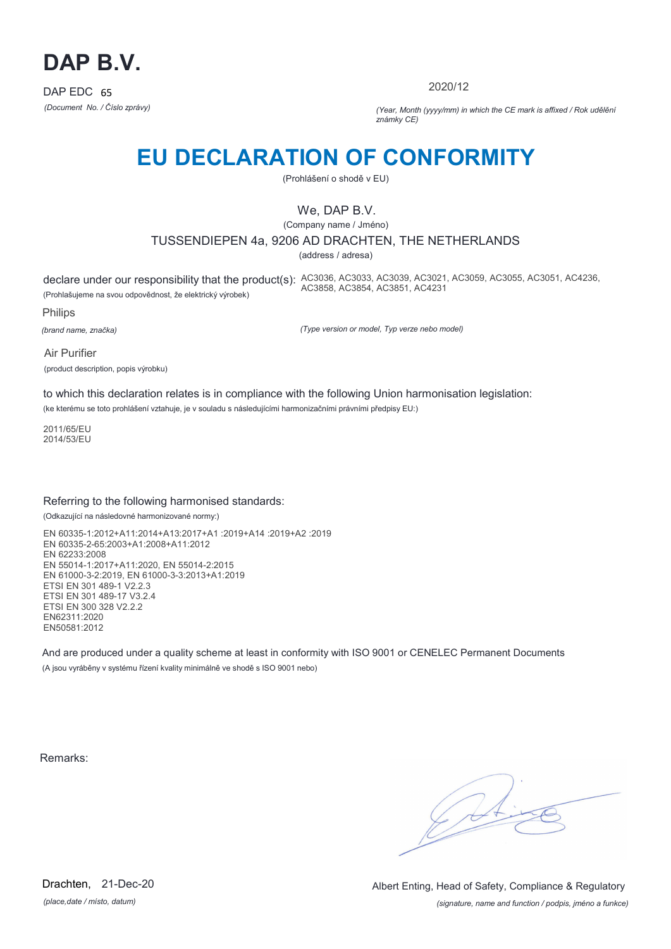

2020/12

*(Document No. / Číslo zprávy) (Year, Month (yyyy/mm) in which the CE mark is affixed / Rok udělění známky CE)*

# **EU DECLARATION OF CONFORMITY**

(Prohlášení o shodě v EU)

## We, DAP B.V.

(Company name / Jméno)

TUSSENDIEPEN 4a, 9206 AD DRACHTEN, THE NETHERLANDS

(address / adresa)

declare under our responsibility that the product(s): AC3036, AC3033, AC3039, AC3021, AC3059, AC3055, AC3051, AC4236, (Prohlašujeme na svou odpovědnost, že elektrický výrobek) AC3858, AC3854, AC3851, AC4231

Philips

*(brand name, značka)*

*(Type version or model, Typ verze nebo model)*

Air Purifier (product description, popis výrobku)

to which this declaration relates is in compliance with the following Union harmonisation legislation:

(ke kterému se toto prohlášení vztahuje, je v souladu s následujícími harmonizačními právními předpisy EU:)

2011/65/EU 2014/53/EU

### Referring to the following harmonised standards:

(Odkazující na následovné harmonizované normy:)

EN 60335-1:2012+A11:2014+A13:2017+A1 :2019+A14 :2019+A2 :2019 EN 60335-2-65:2003+A1:2008+A11:2012 EN 62233:2008 EN 55014-1:2017+A11:2020, EN 55014-2:2015 EN 61000-3-2:2019, EN 61000-3-3:2013+A1:2019 ETSI EN 301 489-1 V2.2.3 ETSI EN 301 489-17 V3.2.4 ETSI EN 300 328 V2.2.2 EN62311:2020 EN50581:2012

And are produced under a quality scheme at least in conformity with ISO 9001 or CENELEC Permanent Documents (A jsou vyráběny v systému řízení kvality minimálně ve shodě s ISO 9001 nebo)

Remarks:

 $\sqrt{1}$ 

*(place,date / místo, datum)* Drachten, 21-Dec-20

*(signature, name and function / podpis, jméno a funkce)* Albert Enting, Head of Safety, Compliance & Regulatory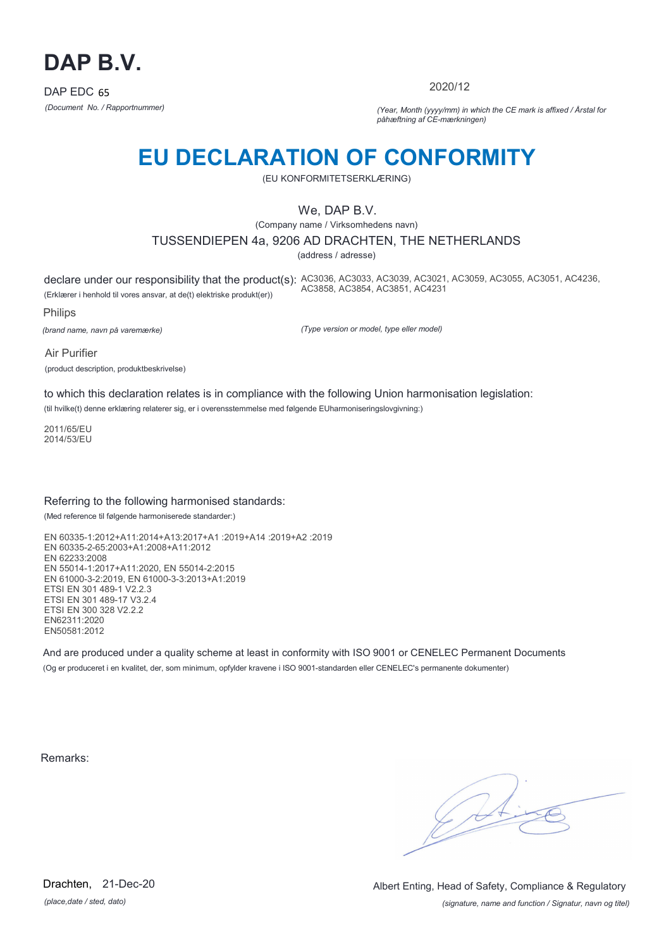

2020/12

*(Document No. / Rapportnummer) (Year, Month (yyyy/mm) in which the CE mark is affixed / Årstal for påhæftning af CE-mærkningen)*

# **EU DECLARATION OF CONFORMITY**

(EU KONFORMITETSERKLÆRING)

## We, DAP B.V.

(Company name / Virksomhedens navn)

TUSSENDIEPEN 4a, 9206 AD DRACHTEN, THE NETHERLANDS

(address / adresse)

declare under our responsibility that the product(s): AC3036, AC3033, AC3039, AC3021, AC3059, AC3055, AC3051, AC4236, (Erklærer i henhold til vores ansvar, at de(t) elektriske produkt(er)) AC3858, AC3854, AC3851, AC4231

Philips

*(brand name, navn på varemærke)*

*(Type version or model, type eller model)*

Air Purifier (product description, produktbeskrivelse)

to which this declaration relates is in compliance with the following Union harmonisation legislation:

(til hvilke(t) denne erklæring relaterer sig, er i overensstemmelse med følgende EUharmoniseringslovgivning:)

2011/65/EU 2014/53/EU

### Referring to the following harmonised standards:

(Med reference til følgende harmoniserede standarder:)

EN 60335-1:2012+A11:2014+A13:2017+A1 :2019+A14 :2019+A2 :2019 EN 60335-2-65:2003+A1:2008+A11:2012 EN 62233:2008 EN 55014-1:2017+A11:2020, EN 55014-2:2015 EN 61000-3-2:2019, EN 61000-3-3:2013+A1:2019 ETSI EN 301 489-1 V2.2.3 ETSI EN 301 489-17 V3.2.4 ETSI EN 300 328 V2.2.2 EN62311:2020 EN50581:2012

And are produced under a quality scheme at least in conformity with ISO 9001 or CENELEC Permanent Documents (Og er produceret i en kvalitet, der, som minimum, opfylder kravene i ISO 9001-standarden eller CENELEC's permanente dokumenter)

Remarks:

*(place,date / sted, dato)* Drachten, 21-Dec-20

*(signature, name and function / Signatur, navn og titel)* Albert Enting, Head of Safety, Compliance & Regulatory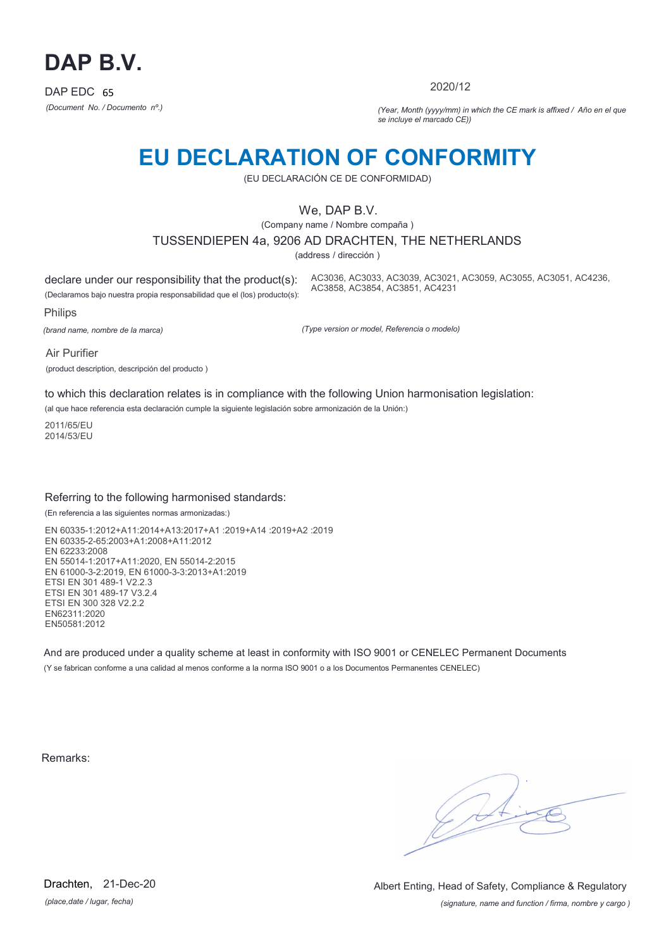

2020/12

*(Document No. / Documento nº.) (Year, Month (yyyy/mm) in which the CE mark is affixed / Año en el que se incluye el marcado CE))*

## **EU DECLARATION OF CONFORMITY**

(EU DECLARACIÓN CE DE CONFORMIDAD)

## We, DAP B.V.

(Company name / Nombre compaña )

TUSSENDIEPEN 4a, 9206 AD DRACHTEN, THE NETHERLANDS

(address / dirección )

declare under our responsibility that the product(s): (Declaramos bajo nuestra propia responsabilidad que el (los) producto(s): AC3036, AC3033, AC3039, AC3021, AC3059, AC3055, AC3051, AC4236, AC3858, AC3854, AC3851, AC4231

Philips

*(brand name, nombre de la marca)*

*(Type version or model, Referencia o modelo)*

Air Purifier

(product description, descripción del producto )

to which this declaration relates is in compliance with the following Union harmonisation legislation:

(al que hace referencia esta declaración cumple la siguiente legislación sobre armonización de la Unión:)

2011/65/EU 2014/53/EU

### Referring to the following harmonised standards:

(En referencia a las siguientes normas armonizadas:)

EN 60335-1:2012+A11:2014+A13:2017+A1 :2019+A14 :2019+A2 :2019 EN 60335-2-65:2003+A1:2008+A11:2012 EN 62233:2008 EN 55014-1:2017+A11:2020, EN 55014-2:2015 EN 61000-3-2:2019, EN 61000-3-3:2013+A1:2019 ETSI EN 301 489-1 V2.2.3 ETSI EN 301 489-17 V3.2.4 ETSI EN 300 328 V2.2.2 EN62311:2020 EN50581:2012

And are produced under a quality scheme at least in conformity with ISO 9001 or CENELEC Permanent Documents (Y se fabrican conforme a una calidad al menos conforme a la norma ISO 9001 o a los Documentos Permanentes CENELEC)

Remarks:

*(place,date / lugar, fecha)* Drachten, 21-Dec-20

*(signature, name and function / firma, nombre y cargo )* Albert Enting, Head of Safety, Compliance & Regulatory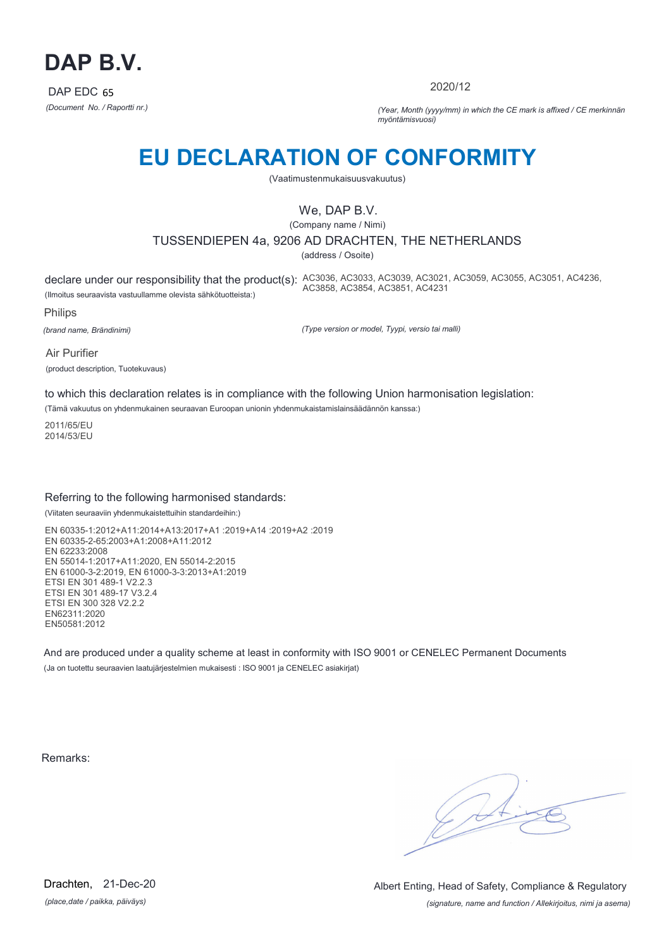

2020/12

*(Document No. / Raportti nr.) (Year, Month (yyyy/mm) in which the CE mark is affixed / CE merkinnän myöntämisvuosi)*

# **EU DECLARATION OF CONFORMITY**

(Vaatimustenmukaisuusvakuutus)

## We, DAP B.V.

(Company name / Nimi)

TUSSENDIEPEN 4a, 9206 AD DRACHTEN, THE NETHERLANDS

(address / Osoite)

declare under our responsibility that the product(s): AC3036, AC3033, AC3039, AC3021, AC3059, AC3055, AC3051, AC4236, (Ilmoitus seuraavista vastuullamme olevista sähkötuotteista:) AC3858, AC3854, AC3851, AC4231

Philips

*(brand name, Brändinimi)*

*(Type version or model, Tyypi, versio tai malli)*

Air Purifier (product description, Tuotekuvaus)

to which this declaration relates is in compliance with the following Union harmonisation legislation:

(Tämä vakuutus on yhdenmukainen seuraavan Euroopan unionin yhdenmukaistamislainsäädännön kanssa:)

2011/65/EU 2014/53/EU

### Referring to the following harmonised standards:

(Viitaten seuraaviin yhdenmukaistettuihin standardeihin:)

EN 60335-1:2012+A11:2014+A13:2017+A1 :2019+A14 :2019+A2 :2019 EN 60335-2-65:2003+A1:2008+A11:2012 EN 62233:2008 EN 55014-1:2017+A11:2020, EN 55014-2:2015 EN 61000-3-2:2019, EN 61000-3-3:2013+A1:2019 ETSI EN 301 489-1 V2.2.3 ETSI EN 301 489-17 V3.2.4 ETSI EN 300 328 V2.2.2 EN62311:2020 EN50581:2012

And are produced under a quality scheme at least in conformity with ISO 9001 or CENELEC Permanent Documents (Ja on tuotettu seuraavien laatujärjestelmien mukaisesti : ISO 9001 ja CENELEC asiakirjat)

Remarks:

 $\sqrt{14}$ 

*(place,date / paikka, päiväys)* Drachten, 21-Dec-20

*(signature, name and function / Allekirjoitus, nimi ja asema)* Albert Enting, Head of Safety, Compliance & Regulatory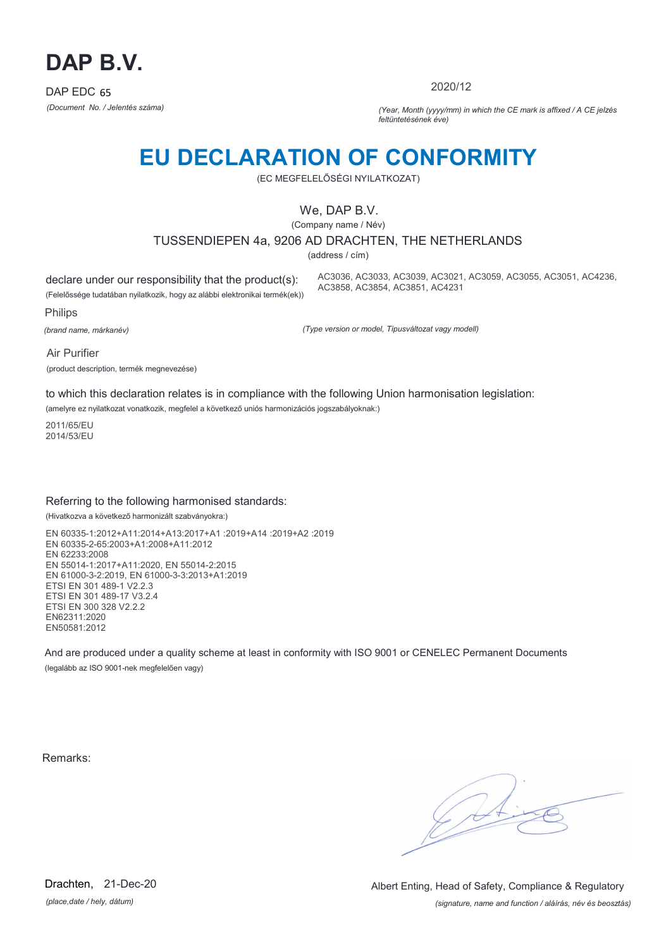

2020/12

*(Document No. / Jelentés száma) (Year, Month (yyyy/mm) in which the CE mark is affixed / A CE jelzés feltüntetésének éve)*

# **EU DECLARATION OF CONFORMITY**

(EC MEGFELELŐSÉGI NYILATKOZAT)

### We, DAP B.V.

(Company name / Név)

### TUSSENDIEPEN 4a, 9206 AD DRACHTEN, THE NETHERLANDS

(address / cím)

declare under our responsibility that the product(s):

(Felelőssége tudatában nyilatkozik, hogy az alábbi elektronikai termék(ek))

AC3036, AC3033, AC3039, AC3021, AC3059, AC3055, AC3051, AC4236, AC3858, AC3854, AC3851, AC4231

Philips

*(brand name, márkanév)*

*(Type version or model, Típusváltozat vagy modell)*

Air Purifier (product description, termék megnevezése)

to which this declaration relates is in compliance with the following Union harmonisation legislation:

(amelyre ez nyilatkozat vonatkozik, megfelel a következő uniós harmonizációs jogszabályoknak:)

2011/65/EU 2014/53/EU

### Referring to the following harmonised standards:

(Hivatkozva a következő harmonizált szabványokra:)

EN 60335-1:2012+A11:2014+A13:2017+A1 :2019+A14 :2019+A2 :2019 EN 60335-2-65:2003+A1:2008+A11:2012 EN 62233:2008 EN 55014-1:2017+A11:2020, EN 55014-2:2015 EN 61000-3-2:2019, EN 61000-3-3:2013+A1:2019 ETSI EN 301 489-1 V2.2.3 ETSI EN 301 489-17 V3.2.4 ETSI EN 300 328 V2.2.2 EN62311:2020 EN50581:2012

And are produced under a quality scheme at least in conformity with ISO 9001 or CENELEC Permanent Documents (legalább az ISO 9001-nek megfelelően vagy)

Remarks:

 $\sqrt{4}$ 

*(place,date / hely, dátum)* Drachten, 21-Dec-20

*(signature, name and function / aláírás, név és beosztás)* Albert Enting, Head of Safety, Compliance & Regulatory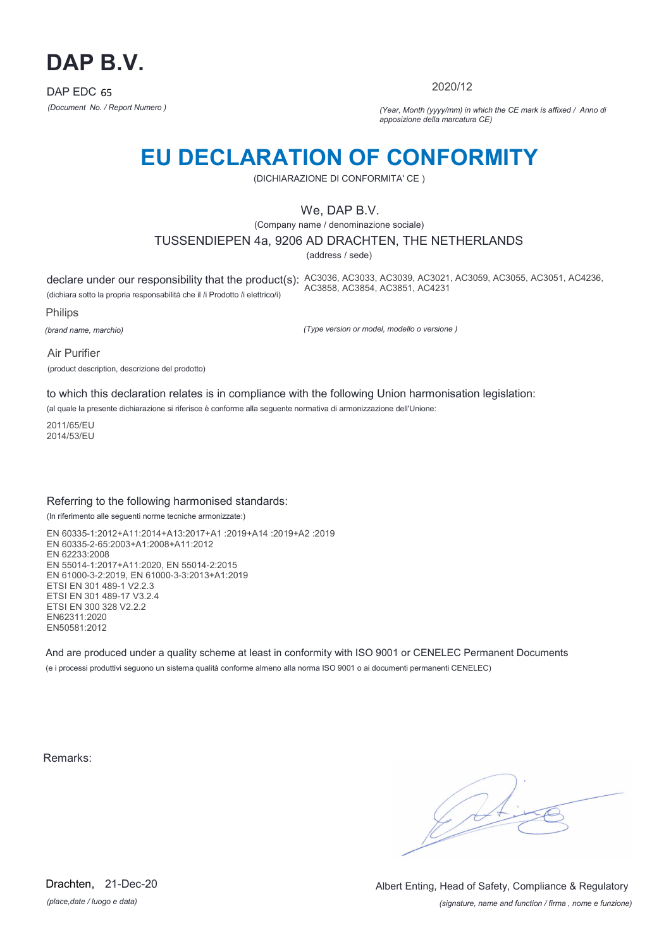

2020/12

*(Document No. / Report Numero ) (Year, Month (yyyy/mm) in which the CE mark is affixed / Anno di apposizione della marcatura CE)*

## **EU DECLARATION OF CONFORMITY**

(DICHIARAZIONE DI CONFORMITA' CE )

### We, DAP B.V.

(Company name / denominazione sociale)

### TUSSENDIEPEN 4a, 9206 AD DRACHTEN, THE NETHERLANDS

(address / sede)

declare under our responsibility that the product(s): AC3036, AC3033, AC3039, AC3021, AC3059, AC3055, AC3051, AC4236, (dichiara sotto la propria responsabilità che il /i Prodotto /i elettrico/i) AC3858, AC3854, AC3851, AC4231

Philips

*(brand name, marchio)*

*(Type version or model, modello o versione )*

Air Purifier

(product description, descrizione del prodotto)

to which this declaration relates is in compliance with the following Union harmonisation legislation:

(al quale la presente dichiarazione si riferisce è conforme alla seguente normativa di armonizzazione dell'Unione:

2011/65/EU 2014/53/EU

### Referring to the following harmonised standards:

(In riferimento alle seguenti norme tecniche armonizzate:)

EN 60335-1:2012+A11:2014+A13:2017+A1 :2019+A14 :2019+A2 :2019 EN 60335-2-65:2003+A1:2008+A11:2012 EN 62233:2008 EN 55014-1:2017+A11:2020, EN 55014-2:2015 EN 61000-3-2:2019, EN 61000-3-3:2013+A1:2019 ETSI EN 301 489-1 V2.2.3 ETSI EN 301 489-17 V3.2.4 ETSI EN 300 328 V2.2.2 EN62311:2020 EN50581:2012

And are produced under a quality scheme at least in conformity with ISO 9001 or CENELEC Permanent Documents (e i processi produttivi seguono un sistema qualità conforme almeno alla norma ISO 9001 o ai documenti permanenti CENELEC)

Remarks:

 $\sqrt{14}$ 

*(place,date / luogo e data)* Drachten, 21-Dec-20

*(signature, name and function / firma , nome e funzione)* Albert Enting, Head of Safety, Compliance & Regulatory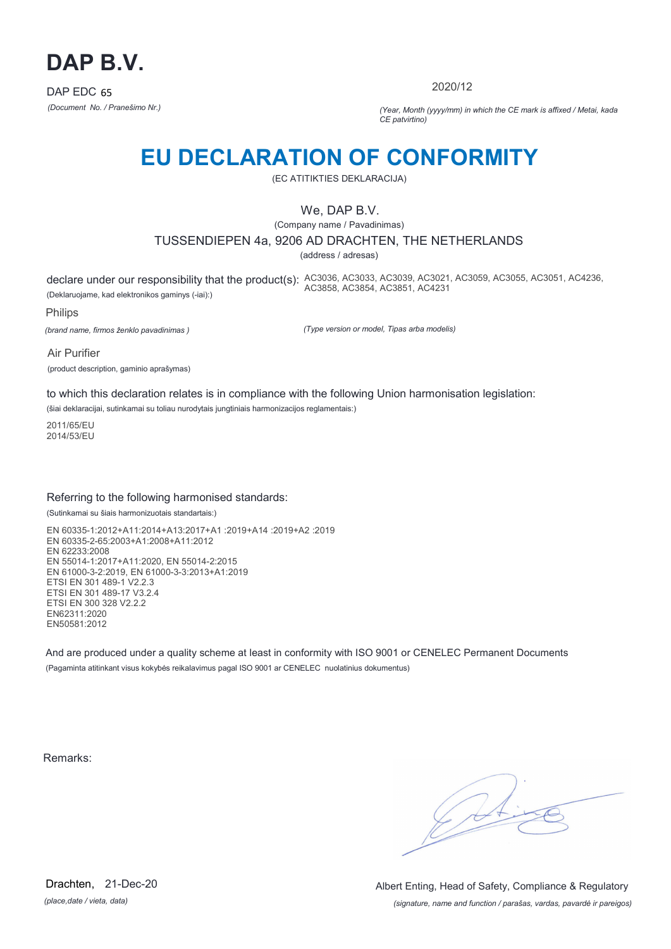

2020/12

*(Document No. / Pranešimo Nr.) (Year, Month (yyyy/mm) in which the CE mark is affixed / Metai, kada CE patvirtino)*

## **EU DECLARATION OF CONFORMITY**

(EC ATITIKTIES DEKLARACIJA)

## We, DAP B.V.

(Company name / Pavadinimas)

### TUSSENDIEPEN 4a, 9206 AD DRACHTEN, THE NETHERLANDS

(address / adresas)

declare under our responsibility that the product(s): AC3036, AC3033, AC3039, AC3021, AC3059, AC3055, AC3051, AC4236, (Deklaruojame, kad elektronikos gaminys (-iai):) AC3858, AC3854, AC3851, AC4231

Philips

*(brand name, firmos ženklo pavadinimas )*

*(Type version or model, Tipas arba modelis)*

Air Purifier (product description, gaminio aprašymas)

to which this declaration relates is in compliance with the following Union harmonisation legislation:

(šiai deklaracijai, sutinkamai su toliau nurodytais jungtiniais harmonizacijos reglamentais:)

2011/65/EU 2014/53/EU

### Referring to the following harmonised standards:

(Sutinkamai su šiais harmonizuotais standartais:)

EN 60335-1:2012+A11:2014+A13:2017+A1 :2019+A14 :2019+A2 :2019 EN 60335-2-65:2003+A1:2008+A11:2012 EN 62233:2008 EN 55014-1:2017+A11:2020, EN 55014-2:2015 EN 61000-3-2:2019, EN 61000-3-3:2013+A1:2019 ETSI EN 301 489-1 V2.2.3 ETSI EN 301 489-17 V3.2.4 ETSI EN 300 328 V2.2.2 EN62311:2020 EN50581:2012

And are produced under a quality scheme at least in conformity with ISO 9001 or CENELEC Permanent Documents (Pagaminta atitinkant visus kokybės reikalavimus pagal ISO 9001 ar CENELEC nuolatinius dokumentus)

Remarks:

 $\sqrt{4}$ 

*(place,date / vieta, data)* Drachten, 21-Dec-20

*(signature, name and function / parašas, vardas, pavardė ir pareigos)* Albert Enting, Head of Safety, Compliance & Regulatory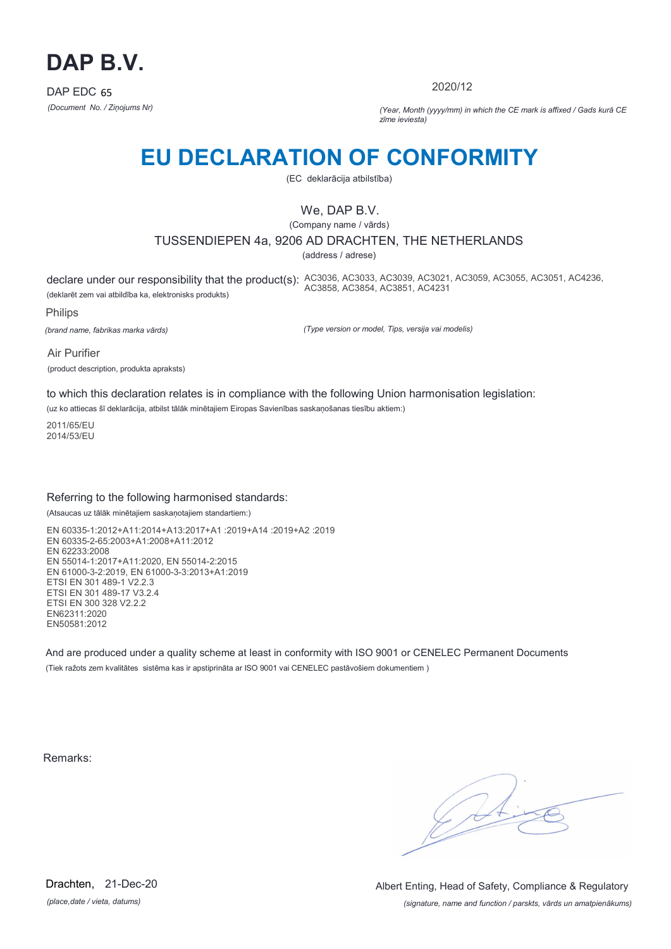

2020/12

*(Document No. / Ziņojums Nr) (Year, Month (yyyy/mm) in which the CE mark is affixed / Gads kurā CE zīme ieviesta)*

## **EU DECLARATION OF CONFORMITY**

(EC deklarācija atbilstība)

## We, DAP B.V.

(Company name / vārds)

### TUSSENDIEPEN 4a, 9206 AD DRACHTEN, THE NETHERLANDS

(address / adrese)

declare under our responsibility that the product(s): AC3036, AC3033, AC3039, AC3021, AC3059, AC3055, AC3051, AC4236, (deklarēt zem vai atbildība ka, elektronisks produkts) AC3858, AC3854, AC3851, AC4231

Philips

*(brand name, fabrikas marka vārds)*

*(Type version or model, Tips, versija vai modelis)*

Air Purifier (product description, produkta apraksts)

to which this declaration relates is in compliance with the following Union harmonisation legislation:

(uz ko attiecas šī deklarācija, atbilst tālāk minētajiem Eiropas Savienības saskaņošanas tiesību aktiem:)

2011/65/EU 2014/53/EU

### Referring to the following harmonised standards:

(Atsaucas uz tālāk minētajiem saskaņotajiem standartiem:)

EN 60335-1:2012+A11:2014+A13:2017+A1 :2019+A14 :2019+A2 :2019 EN 60335-2-65:2003+A1:2008+A11:2012 EN 62233:2008 EN 55014-1:2017+A11:2020, EN 55014-2:2015 EN 61000-3-2:2019, EN 61000-3-3:2013+A1:2019 ETSI EN 301 489-1 V2.2.3 ETSI EN 301 489-17 V3.2.4 ETSI EN 300 328 V2.2.2 EN62311:2020 EN50581:2012

And are produced under a quality scheme at least in conformity with ISO 9001 or CENELEC Permanent Documents (Tiek ražots zem kvalitātes sistēma kas ir apstiprināta ar ISO 9001 vai CENELEC pastāvošiem dokumentiem )

Remarks:

 $\sqrt{4}$ 

*(place,date / vieta, datums)* Drachten, 21-Dec-20

*(signature, name and function / parskts, vārds un amatpienākums)* Albert Enting, Head of Safety, Compliance & Regulatory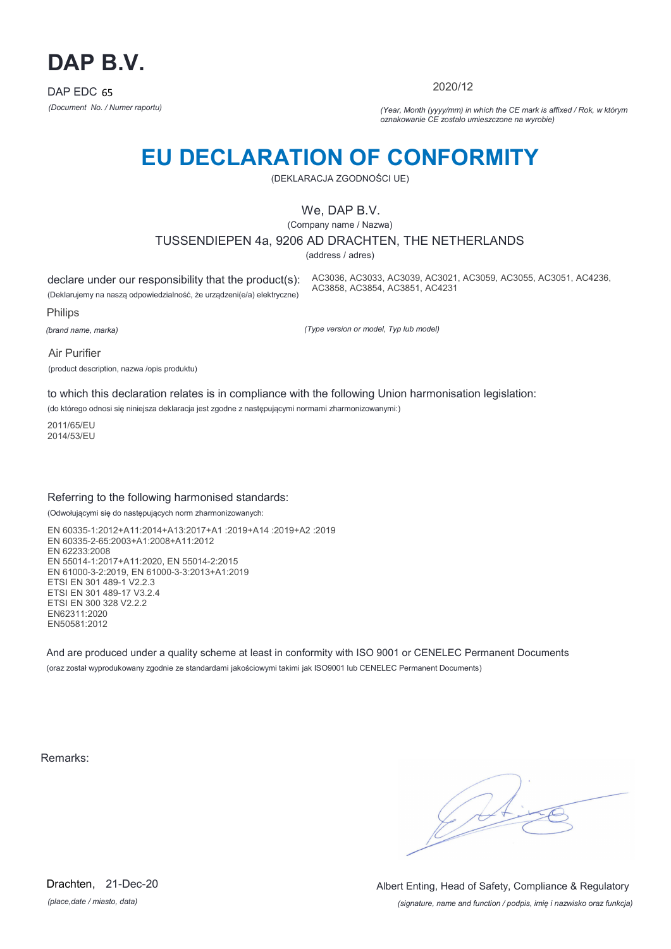

2020/12

AC3036, AC3033, AC3039, AC3021, AC3059, AC3055, AC3051, AC4236,

*(Document No. / Numer raportu) (Year, Month (yyyy/mm) in which the CE mark is affixed / Rok, w którym oznakowanie CE zostało umieszczone na wyrobie)*

# **EU DECLARATION OF CONFORMITY**

(DEKLARACJA ZGODNOŚCI UE)

### We, DAP B.V.

(Company name / Nazwa)

TUSSENDIEPEN 4a, 9206 AD DRACHTEN, THE NETHERLANDS

(address / adres)

declare under our responsibility that the product(s):

(Deklarujemy na naszą odpowiedzialność, że urządzeni(e/a) elektryczne) AC3858, AC3854, AC3851, AC4231

Philips

*(brand name, marka)*

*(Type version or model, Typ lub model)*

Air Purifier

(product description, nazwa /opis produktu)

to which this declaration relates is in compliance with the following Union harmonisation legislation:

(do którego odnosi się niniejsza deklaracja jest zgodne z następującymi normami zharmonizowanymi:)

2011/65/EU 2014/53/EU

### Referring to the following harmonised standards:

(Odwołującymi się do następujących norm zharmonizowanych:

EN 60335-1:2012+A11:2014+A13:2017+A1 :2019+A14 :2019+A2 :2019 EN 60335-2-65:2003+A1:2008+A11:2012 EN 62233:2008 EN 55014-1:2017+A11:2020, EN 55014-2:2015 EN 61000-3-2:2019, EN 61000-3-3:2013+A1:2019 ETSI EN 301 489-1 V2.2.3 ETSI EN 301 489-17 V3.2.4 ETSI EN 300 328 V2.2.2 EN62311:2020 EN50581:2012

And are produced under a quality scheme at least in conformity with ISO 9001 or CENELEC Permanent Documents (oraz został wyprodukowany zgodnie ze standardami jakościowymi takimi jak ISO9001 lub CENELEC Permanent Documents)

Remarks:

 $\sqrt{1}$ 

*(place,date / miasto, data)* Drachten, 21-Dec-20

*(signature, name and function / podpis, imię i nazwisko oraz funkcja)* Albert Enting, Head of Safety, Compliance & Regulatory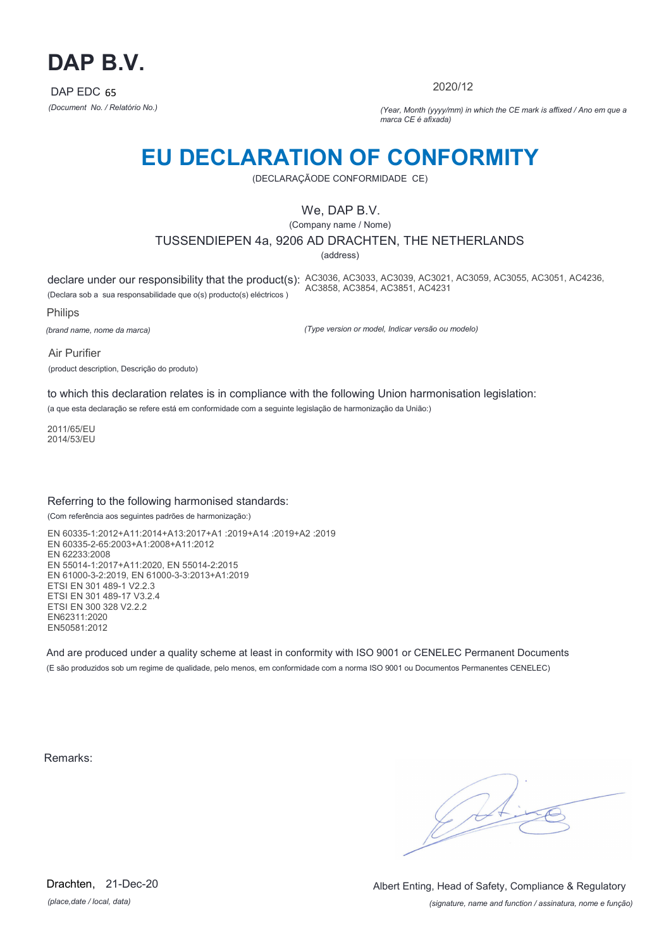

2020/12

*(Document No. / Relatório No.) (Year, Month (yyyy/mm) in which the CE mark is affixed / Ano em que a marca CE é afixada)*

## **EU DECLARATION OF CONFORMITY**

(DECLARAÇÃODE CONFORMIDADE CE)

### We, DAP B.V.

(Company name / Nome)

### TUSSENDIEPEN 4a, 9206 AD DRACHTEN, THE NETHERLANDS

(address)

declare under our responsibility that the product(s): AC3036, AC3033, AC3039, AC3021, AC3059, AC3055, AC3051, AC4236, (Declara sob a sua responsabilidade que o(s) producto(s) eléctricos ) AC3858, AC3854, AC3851, AC4231

Philips

*(brand name, nome da marca)*

*(Type version or model, Indicar versão ou modelo)*

Air Purifier (product description, Descrição do produto)

to which this declaration relates is in compliance with the following Union harmonisation legislation:

(a que esta declaração se refere está em conformidade com a seguinte legislação de harmonização da União:)

2011/65/EU 2014/53/EU

### Referring to the following harmonised standards:

(Com referência aos seguintes padrões de harmonização:)

EN 60335-1:2012+A11:2014+A13:2017+A1 :2019+A14 :2019+A2 :2019 EN 60335-2-65:2003+A1:2008+A11:2012 EN 62233:2008 EN 55014-1:2017+A11:2020, EN 55014-2:2015 EN 61000-3-2:2019, EN 61000-3-3:2013+A1:2019 ETSI EN 301 489-1 V2.2.3 ETSI EN 301 489-17 V3.2.4 ETSI EN 300 328 V2.2.2 EN62311:2020 EN50581:2012

And are produced under a quality scheme at least in conformity with ISO 9001 or CENELEC Permanent Documents (E são produzidos sob um regime de qualidade, pelo menos, em conformidade com a norma ISO 9001 ou Documentos Permanentes CENELEC)

Remarks:

*(place,date / local, data)* Drachten, 21-Dec-20

*(signature, name and function / assinatura, nome e função)* Albert Enting, Head of Safety, Compliance & Regulatory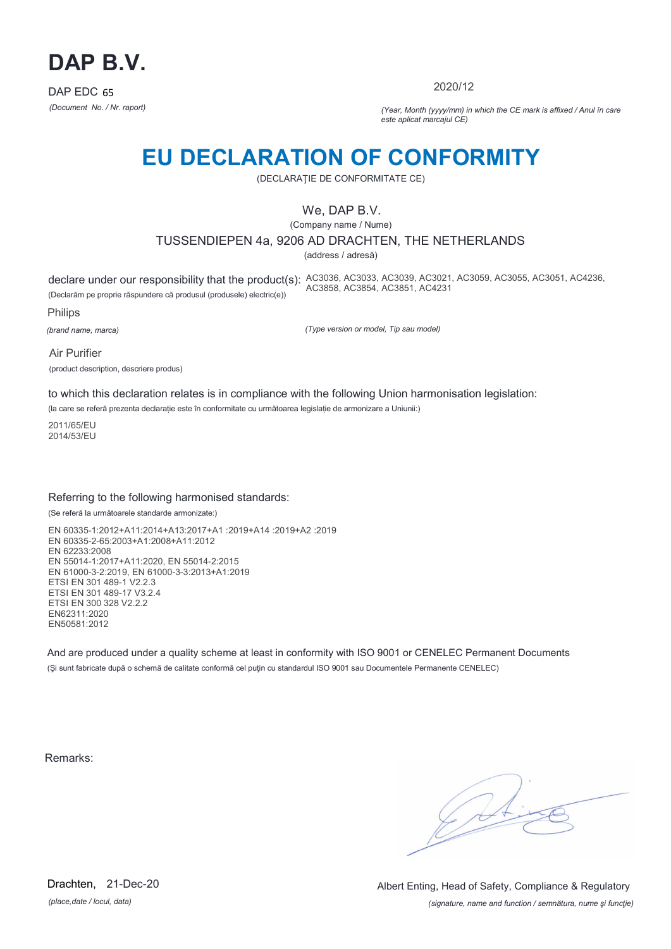

2020/12

*(Document No. / Nr. raport) (Year, Month (yyyy/mm) in which the CE mark is affixed / Anul în care este aplicat marcajul CE)*

# **EU DECLARATION OF CONFORMITY**

(DECLARAŢIE DE CONFORMITATE CE)

## We, DAP B.V.

(Company name / Nume)

TUSSENDIEPEN 4a, 9206 AD DRACHTEN, THE NETHERLANDS

(address / adresă)

declare under our responsibility that the product(s): AC3036, AC3033, AC3039, AC3021, AC3059, AC3055, AC3051, AC4236, (Declarăm pe proprie răspundere că produsul (produsele) electric(e)) AC3858, AC3854, AC3851, AC4231

Philips

*(brand name, marca)*

*(Type version or model, Tip sau model)*

Air Purifier (product description, descriere produs)

to which this declaration relates is in compliance with the following Union harmonisation legislation:

(la care se referă prezenta declarație este în conformitate cu următoarea legislație de armonizare a Uniunii:)

2011/65/EU 2014/53/EU

### Referring to the following harmonised standards:

(Se referă la următoarele standarde armonizate:)

EN 60335-1:2012+A11:2014+A13:2017+A1 :2019+A14 :2019+A2 :2019 EN 60335-2-65:2003+A1:2008+A11:2012 EN 62233:2008 EN 55014-1:2017+A11:2020, EN 55014-2:2015 EN 61000-3-2:2019, EN 61000-3-3:2013+A1:2019 ETSI EN 301 489-1 V2.2.3 ETSI EN 301 489-17 V3.2.4 ETSI EN 300 328 V2.2.2 EN62311:2020 EN50581:2012

And are produced under a quality scheme at least in conformity with ISO 9001 or CENELEC Permanent Documents (Şi sunt fabricate după o schemă de calitate conformă cel puţin cu standardul ISO 9001 sau Documentele Permanente CENELEC)

Remarks:

*(place,date / locul, data)* Drachten, 21-Dec-20

*(signature, name and function / semnătura, nume şi funcţie)* Albert Enting, Head of Safety, Compliance & Regulatory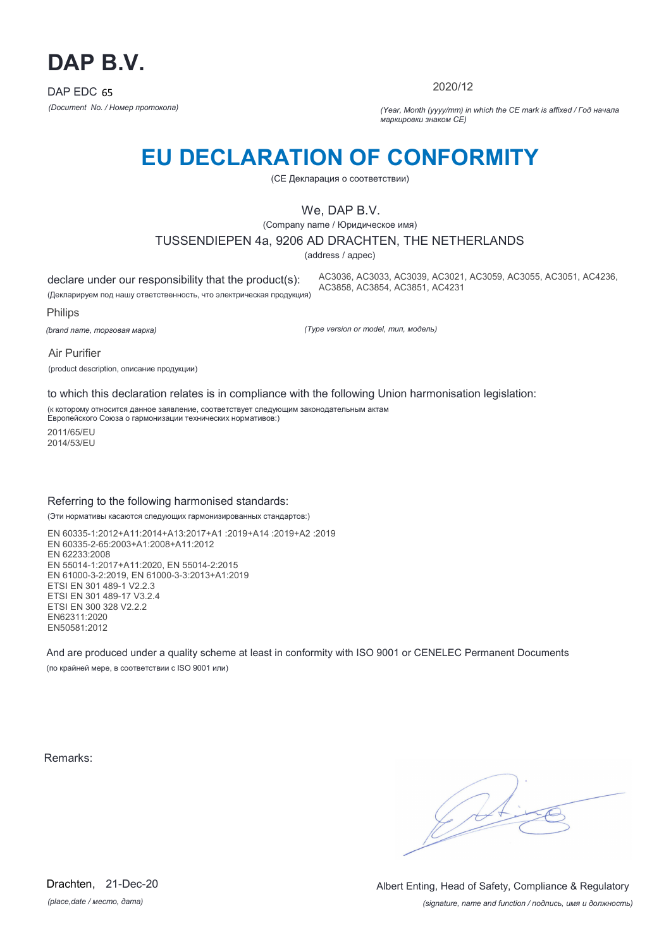

2020/12

*(Document No. / Номер протокола) (Year, Month (yyyy/mm) in which the CE mark is affixed / Год начала маркировки знаком CE)*

# **EU DECLARATION OF CONFORMITY**

(CE Декларация о соответствии)

### We, DAP B.V.

(Company name / Юридическое имя)

#### TUSSENDIEPEN 4a, 9206 AD DRACHTEN, THE NETHERLANDS

(address / адрес)

declare under our responsibility that the product(s): (Декларируем под нашу ответственность, что электрическая продукция)

AC3036, AC3033, AC3039, AC3021, AC3059, AC3055, AC3051, AC4236, AC3858, AC3854, AC3851, AC4231

Philips

*(brand name, торговая марка)*

*(Type version or model, тип, модель)*

Air Purifier

(product description, описание продукции)

to which this declaration relates is in compliance with the following Union harmonisation legislation:

(к которому относится данное заявление, соответствует следующим законодательным актам Европейского Союза о гармонизации технических нормативов:)

2011/65/EU 2014/53/EU

### Referring to the following harmonised standards:

(Эти нормативы касаются следующих гармонизированных стандартов:)

EN 60335-1:2012+A11:2014+A13:2017+A1 :2019+A14 :2019+A2 :2019 EN 60335-2-65:2003+A1:2008+A11:2012 EN 62233:2008 EN 55014-1:2017+A11:2020, EN 55014-2:2015 EN 61000-3-2:2019, EN 61000-3-3:2013+A1:2019 ETSI EN 301 489-1 V2.2.3 ETSI EN 301 489-17 V3.2.4 ETSI EN 300 328 V2.2.2 EN62311:2020 EN50581:2012

And are produced under a quality scheme at least in conformity with ISO 9001 or CENELEC Permanent Documents (по крайней мере, в соответствии с ISO 9001 или)

Remarks:

 $\sqrt{14}$ 

*(place,date / место, дата)* Drachten, 21-Dec-20

*(signature, name and function / подпись, имя и должность)* Albert Enting, Head of Safety, Compliance & Regulatory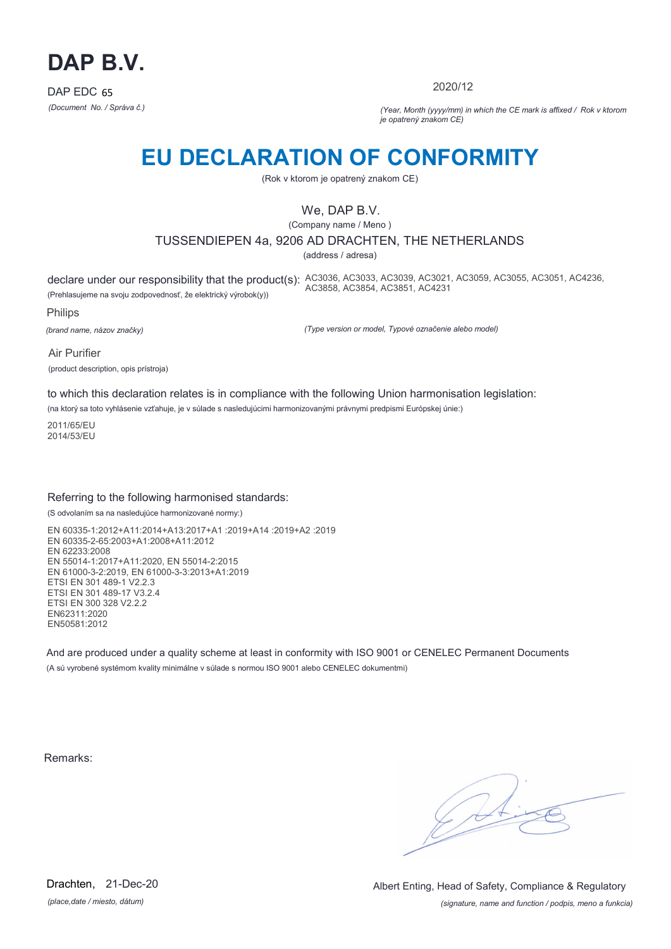

2020/12

*(Document No. / Správa č.) (Year, Month (yyyy/mm) in which the CE mark is affixed / Rok v ktorom je opatrený znakom CE)*

## **EU DECLARATION OF CONFORMITY**

(Rok v ktorom je opatrený znakom CE)

## We, DAP B.V.

(Company name / Meno )

### TUSSENDIEPEN 4a, 9206 AD DRACHTEN, THE NETHERLANDS

(address / adresa)

declare under our responsibility that the product(s): AC3036, AC3033, AC3039, AC3021, AC3059, AC3055, AC3051, AC4236, (Prehlasujeme na svoju zodpovednosť, že elektrický výrobok(y)) AC3858, AC3854, AC3851, AC4231

Philips

*(brand name, názov značky)*

*(Type version or model, Typové označenie alebo model)*

Air Purifier (product description, opis prístroja)

to which this declaration relates is in compliance with the following Union harmonisation legislation:

(na ktorý sa toto vyhlásenie vzťahuje, je v súlade s nasledujúcimi harmonizovanými právnymi predpismi Európskej únie:)

2011/65/EU 2014/53/EU

### Referring to the following harmonised standards:

(S odvolaním sa na nasledujúce harmonizované normy:)

EN 60335-1:2012+A11:2014+A13:2017+A1 :2019+A14 :2019+A2 :2019 EN 60335-2-65:2003+A1:2008+A11:2012 EN 62233:2008 EN 55014-1:2017+A11:2020, EN 55014-2:2015 EN 61000-3-2:2019, EN 61000-3-3:2013+A1:2019 ETSI EN 301 489-1 V2.2.3 ETSI EN 301 489-17 V3.2.4 ETSI EN 300 328 V2.2.2 EN62311:2020 EN50581:2012

And are produced under a quality scheme at least in conformity with ISO 9001 or CENELEC Permanent Documents (A sú vyrobené systémom kvality minimálne v súlade s normou ISO 9001 alebo CENELEC dokumentmi)

Remarks:

 $\sqrt{4}$ 

*(place,date / miesto, dátum)* Drachten, 21-Dec-20

*(signature, name and function / podpis, meno a funkcia)* Albert Enting, Head of Safety, Compliance & Regulatory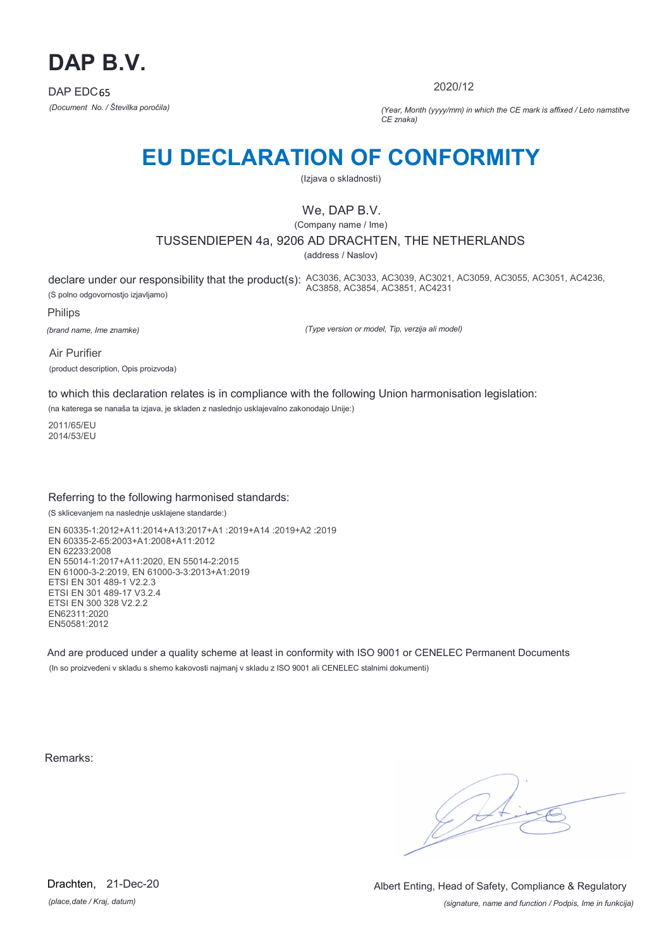

2020/12

*(Document No. / Številka poročila) (Year, Month (yyyy/mm) in which the CE mark is affixed / Leto namstitve CE znaka)*

# **EU DECLARATION OF CONFORMITY**

(Izjava o skladnosti)

## We, DAP B.V.

(Company name / Ime)

### TUSSENDIEPEN 4a, 9206 AD DRACHTEN, THE NETHERLANDS

(address / Naslov)

declare under our responsibility that the product(s): AC3036, AC3033, AC3039, AC3021, AC3059, AC3055, AC3051, AC4236, (S polno odgovornostjo izjavljamo) AC3858, AC3854, AC3851, AC4231

Philips

*(brand name, Ime znamke)*

*(Type version or model, Tip, verzija ali model)*

Air Purifier (product description, Opis proizvoda)

to which this declaration relates is in compliance with the following Union harmonisation legislation:

(na katerega se nanaša ta izjava, je skladen z naslednjo usklajevalno zakonodajo Unije:)

2011/65/EU 2014/53/EU

### Referring to the following harmonised standards:

(S sklicevanjem na naslednje usklajene standarde:)

EN 60335-1:2012+A11:2014+A13:2017+A1 :2019+A14 :2019+A2 :2019 EN 60335-2-65:2003+A1:2008+A11:2012 EN 62233:2008 EN 55014-1:2017+A11:2020, EN 55014-2:2015 EN 61000-3-2:2019, EN 61000-3-3:2013+A1:2019 ETSI EN 301 489-1 V2.2.3 ETSI EN 301 489-17 V3.2.4 ETSI EN 300 328 V2.2.2 EN62311:2020 EN50581:2012

And are produced under a quality scheme at least in conformity with ISO 9001 or CENELEC Permanent Documents (In so proizvedeni v skladu s shemo kakovosti najmanj v skladu z ISO 9001 ali CENELEC stalnimi dokumenti)

Remarks:

*(place,date / Kraj, datum)* Drachten, 21-Dec-20

*(signature, name and function / Podpis, Ime in funkcija)* Albert Enting, Head of Safety, Compliance & Regulatory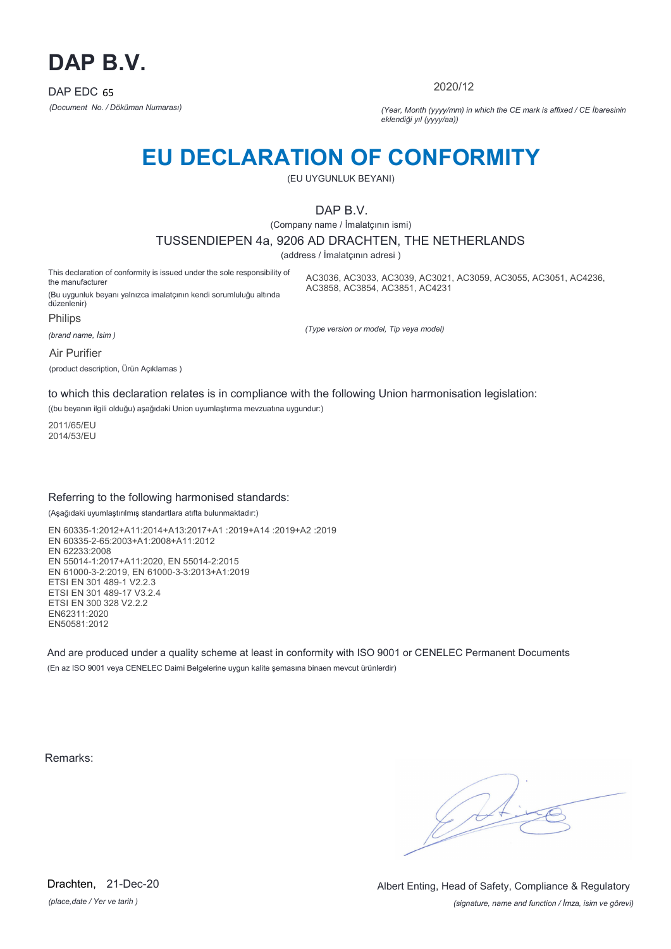

2020/12

*(Document No. / Döküman Numarası) (Year, Month (yyyy/mm) in which the CE mark is affixed / CE İbaresinin eklendiği yıl (yyyy/aa))*

## **EU DECLARATION OF CONFORMITY**

(EU UYGUNLUK BEYANI)

DAP B.V.

(Company name / İmalatçının ismi)

TUSSENDIEPEN 4a, 9206 AD DRACHTEN, THE NETHERLANDS

(address / İmalatçının adresi )

This declaration of conformity is issued under the sole responsibility of the manufacturer

AC3036, AC3033, AC3039, AC3021, AC3059, AC3055, AC3051, AC4236, AC3858, AC3854, AC3851, AC4231

(Bu uygunluk beyanı yalnızca imalatçının kendi sorumluluğu altında düzenlenir)

Philips

*(brand name, İsim )*

*(Type version or model, Tip veya model)*

Air Purifier

(product description, Ürün Açıklamas )

to which this declaration relates is in compliance with the following Union harmonisation legislation:

((bu beyanın ilgili olduğu) aşağıdaki Union uyumlaştırma mevzuatına uygundur:)

2011/65/EU 2014/53/EU

#### Referring to the following harmonised standards:

(Aşağıdaki uyumlaştırılmış standartlara atıfta bulunmaktadır:)

EN 60335-1:2012+A11:2014+A13:2017+A1 :2019+A14 :2019+A2 :2019 EN 60335-2-65:2003+A1:2008+A11:2012 EN 62233:2008 EN 55014-1:2017+A11:2020, EN 55014-2:2015 EN 61000-3-2:2019, EN 61000-3-3:2013+A1:2019 ETSI EN 301 489-1 V2.2.3 ETSI EN 301 489-17 V3.2.4 ETSI EN 300 328 V2.2.2 EN62311:2020 EN50581:2012

And are produced under a quality scheme at least in conformity with ISO 9001 or CENELEC Permanent Documents (En az ISO 9001 veya CENELEC Daimi Belgelerine uygun kalite şemasına binaen mevcut ürünlerdir)

Remarks:

*(place,date / Yer ve tarih )* Drachten, 21-Dec-20

*(signature, name and function / İmza, isim ve görevi)* Albert Enting, Head of Safety, Compliance & Regulatory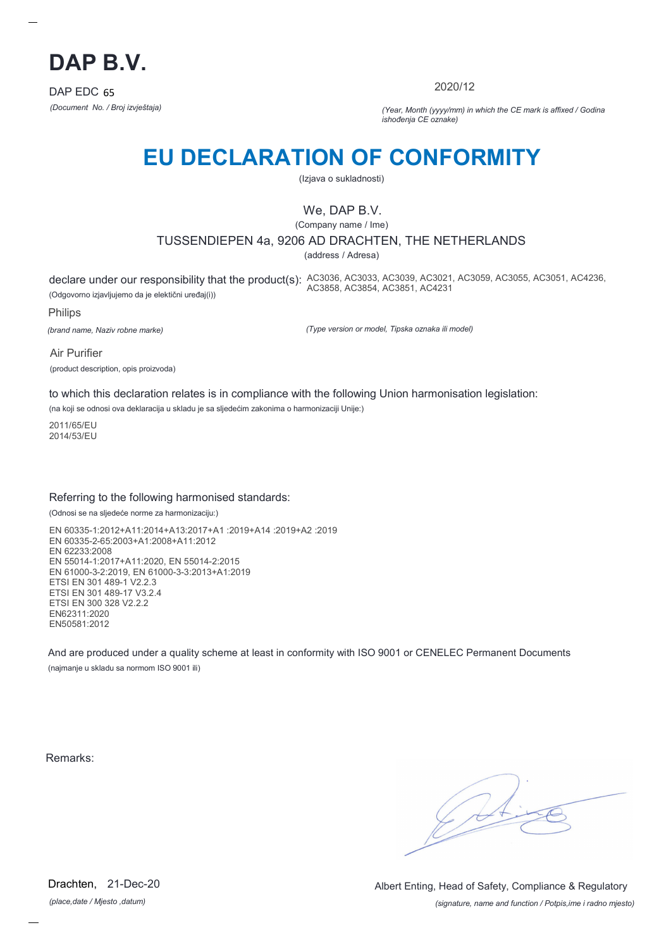

2020/12

*(Document No. / Broj izvještaja) (Year, Month (yyyy/mm) in which the CE mark is affixed / Godina ishođenja CE oznake)*

# **EU DECLARATION OF CONFORMITY**

(Izjava o sukladnosti)

## We, DAP B.V.

(Company name / Ime)

### TUSSENDIEPEN 4a, 9206 AD DRACHTEN, THE NETHERLANDS

(address / Adresa)

declare under our responsibility that the product(s): AC3036, AC3033, AC3039, AC3021, AC3059, AC3055, AC3051, AC4236, (Odgovorno izjavljujemo da je elektični uređaj(i)) AC3858, AC3854, AC3851, AC4231

Philips

*(brand name, Naziv robne marke)*

*(Type version or model, Tipska oznaka ili model)*

Air Purifier (product description, opis proizvoda)

to which this declaration relates is in compliance with the following Union harmonisation legislation:

(na koji se odnosi ova deklaracija u skladu je sa sljedećim zakonima o harmonizaciji Unije:)

2011/65/EU 2014/53/EU

### Referring to the following harmonised standards:

(Odnosi se na sljedeće norme za harmonizaciju:)

EN 60335-1:2012+A11:2014+A13:2017+A1 :2019+A14 :2019+A2 :2019 EN 60335-2-65:2003+A1:2008+A11:2012 EN 62233:2008 EN 55014-1:2017+A11:2020, EN 55014-2:2015 EN 61000-3-2:2019, EN 61000-3-3:2013+A1:2019 ETSI EN 301 489-1 V2.2.3 ETSI EN 301 489-17 V3.2.4 ETSI EN 300 328 V2.2.2 EN62311:2020 EN50581:2012

And are produced under a quality scheme at least in conformity with ISO 9001 or CENELEC Permanent Documents (najmanje u skladu sa normom ISO 9001 ili)

Remarks:

*(place,date / Mjesto ,datum)* Drachten, 21-Dec-20

*(signature, name and function / Potpis,ime i radno mjesto)* Albert Enting, Head of Safety, Compliance & Regulatory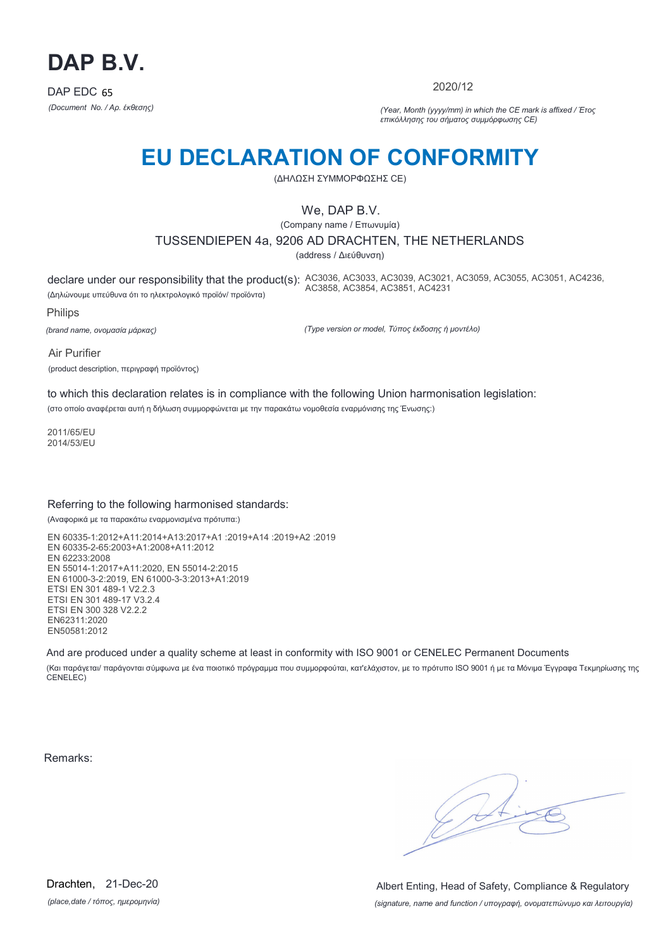

2020/12

*(Document No. / Αρ. έκθεσης) (Year, Month (yyyy/mm) in which the CE mark is affixed / Έτος επικόλλησης του σήματος συμμόρφωσης CE)*

# **EU DECLARATION OF CONFORMITY**

(ΔΗΛΩΣΗ ΣΥΜΜΟΡΦΩΣΗΣ CE)

## We, DAP B.V.

(Company name / Επωνυμία)

TUSSENDIEPEN 4a, 9206 AD DRACHTEN, THE NETHERLANDS

(address / Διεύθυνση)

declare under our responsibility that the product(s): AC3036, AC3033, AC3039, AC3021, AC3059, AC3055, AC3051, AC4236, (Δηλώνουμε υπεύθυνα ότι το ηλεκτρολογικό προϊόν/ προϊόντα) AC3858, AC3854, AC3851, AC4231

Philips

*(brand name, ονομασία μάρκας)*

*(Type version or model, Τύπος έκδοσης ή μοντέλο)*

Air Purifier (product description, περιγραφή προϊόντος)

to which this declaration relates is in compliance with the following Union harmonisation legislation:

(στο οποίο αναφέρεται αυτή η δήλωση συμμορφώνεται με την παρακάτω νομοθεσία εναρμόνισης της Ένωσης:)

2011/65/EU 2014/53/EU

### Referring to the following harmonised standards:

(Αναφορικά με τα παρακάτω εναρμονισμένα πρότυπα:)

EN 60335-1:2012+A11:2014+A13:2017+A1 :2019+A14 :2019+A2 :2019 EN 60335-2-65:2003+A1:2008+A11:2012 EN 62233:2008 EN 55014-1:2017+A11:2020, EN 55014-2:2015 EN 61000-3-2:2019, EN 61000-3-3:2013+A1:2019 ETSI EN 301 489-1 V2.2.3 ETSI EN 301 489-17 V3.2.4 ETSI EN 300 328 V2.2.2 EN62311:2020 EN50581:2012

And are produced under a quality scheme at least in conformity with ISO 9001 or CENELEC Permanent Documents

(Και παράγεται/ παράγονται σύμφωνα με ένα ποιοτικό πρόγραμμα που συμμορφούται, κατ'ελάχιστον, με το πρότυπο ISO 9001 ή με τα Μόνιμα Έγγραφα Τεκμηρίωσης της CENELEC)

Remarks:

*(place,date / τόπος, ημερομηνία)* Drachten, 21-Dec-20

*(signature, name and function / υπογραφή, ονοματεπώνυμο και λειτουργία)* Albert Enting, Head of Safety, Compliance & Regulatory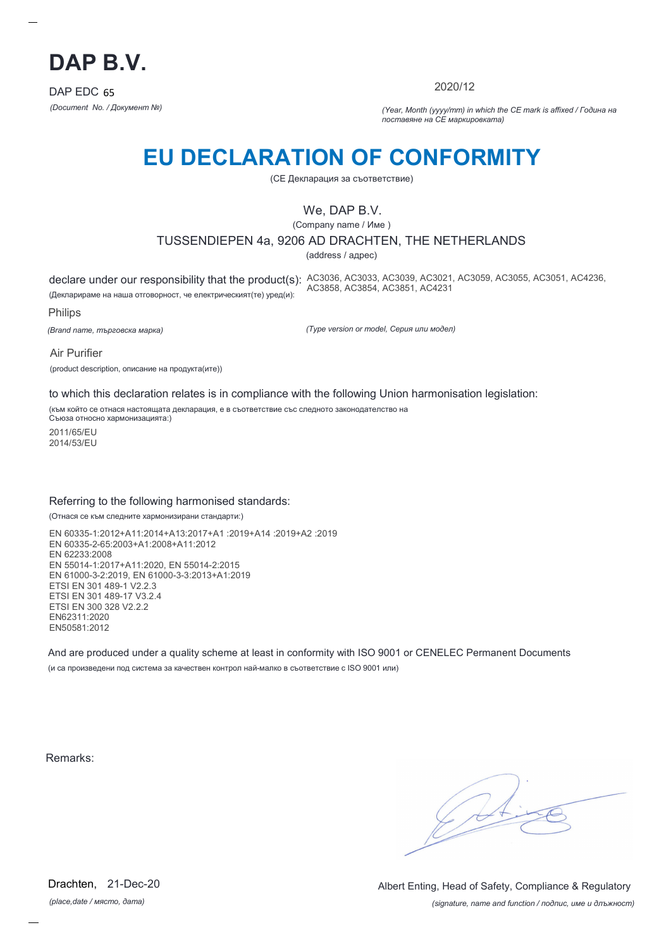

2020/12

*(Document No. / Документ №) (Year, Month (yyyy/mm) in which the CE mark is affixed / Година на поставяне на CE маркировката)*

# **EU DECLARATION OF CONFORMITY**

(CE Декларация за съответствие)

## We, DAP B.V.

(Company name / Име )

### TUSSENDIEPEN 4a, 9206 AD DRACHTEN, THE NETHERLANDS

(address / адрес)

declare under our responsibility that the product(s): AC3036, AC3033, AC3039, AC3021, AC3059, AC3055, AC3051, AC4236, (Декларираме на наша отговорност, че електрическият(те) уред(и): AC3858, AC3854, AC3851, AC4231

Philips

*(Brand name, търговска марка)*

*(Type version or model, Серия или модел)*

Air Purifier (product description, описание на продукта(ите))

to which this declaration relates is in compliance with the following Union harmonisation legislation:

(към който се отнася настоящата декларация, е в съответствие със следното законодателство на Съюза относно хармонизацията:)

2011/65/EU 2014/53/EU

### Referring to the following harmonised standards:

(Отнася се към следните хармонизирани стандарти:)

EN 60335-1:2012+A11:2014+A13:2017+A1 :2019+A14 :2019+A2 :2019 EN 60335-2-65:2003+A1:2008+A11:2012 EN 62233:2008 EN 55014-1:2017+A11:2020, EN 55014-2:2015 EN 61000-3-2:2019, EN 61000-3-3:2013+A1:2019 ETSI EN 301 489-1 V2.2.3 ETSI EN 301 489-17 V3.2.4 ETSI EN 300 328 V2.2.2 EN62311:2020 EN50581:2012

And are produced under a quality scheme at least in conformity with ISO 9001 or CENELEC Permanent Documents (и са произведени под система за качествен контрол най-малко в съответствие с ISO 9001 или)

Remarks:

*(place,date / място, дата)* Drachten, 21-Dec-20

*(signature, name and function / подпис, име и длъжност)* Albert Enting, Head of Safety, Compliance & Regulatory